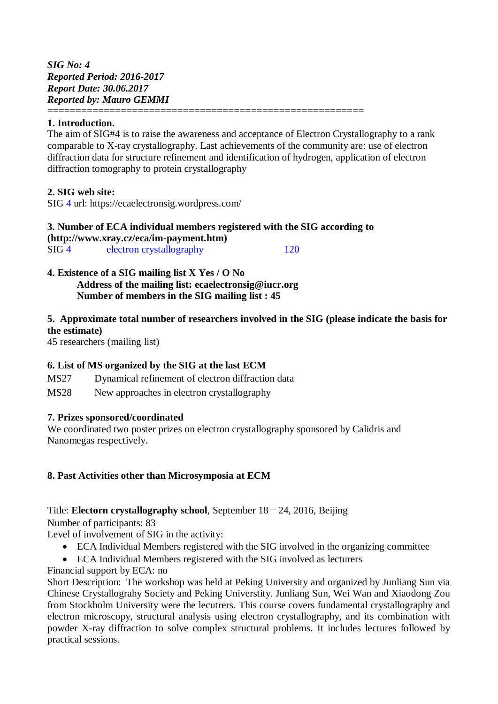*SIG No: 4 Reported Period: 2016-2017 Report Date: 30.06.2017 Reported by: Mauro GEMMI* ========================================================

## **1. Introduction.**

The aim of SIG#4 is to raise the awareness and acceptance of Electron Crystallography to a rank comparable to X-ray crystallography. Last achievements of the community are: use of electron diffraction data for structure refinement and identification of hydrogen, application of electron diffraction tomography to protein crystallography

### **2. SIG web site:**

SIG 4 url: https://ecaelectronsig.wordpress.com/

#### **3. Number of ECA individual members registered with the SIG according to [\(http://www.xray.cz/eca/im-payment.htm\)](http://www.xray.cz/eca/im-payment.htm)** SIG 4 electron crystallography 120

**4. Existence of a SIG mailing list X Yes / O No Address of the mailing list: ecaelectronsig@iucr.org Number of members in the SIG mailing list : 45**

# **5. Approximate total number of researchers involved in the SIG (please indicate the basis for the estimate)**

45 researchers (mailing list)

## **6. List of MS organized by the SIG at the last ECM**

- MS27 Dynamical refinement of electron diffraction data
- MS28 New approaches in electron crystallography

## **7. Prizes sponsored/coordinated**

We coordinated two poster prizes on electron crystallography sponsored by Calidris and Nanomegas respectively.

## **8. Past Activities other than Microsymposia at ECM**

## Title: **Electorn crystallography school**, September 18-24, 2016, Beijing

Number of participants: 83

Level of involvement of SIG in the activity:

- ECA Individual Members registered with the SIG involved in the organizing committee
- ECA Individual Members registered with the SIG involved as lecturers

Financial support by ECA: no

Short Description: The workshop was held at Peking University and organized by Junliang Sun via Chinese Crystallograhy Society and Peking Universtity. Junliang Sun, Wei Wan and Xiaodong Zou from Stockholm University were the lecutrers. This course covers fundamental crystallography and electron microscopy, structural analysis using electron crystallography, and its combination with powder X-ray diffraction to solve complex structural problems. It includes lectures followed by practical sessions.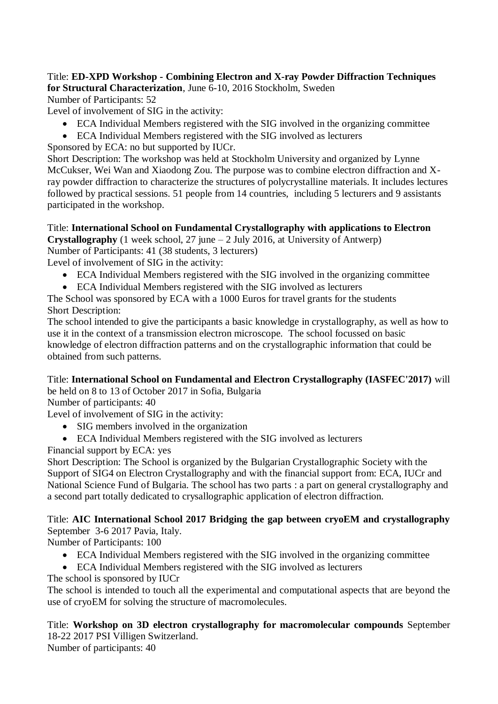# Title: **ED-XPD Workshop - Combining Electron and X-ray Powder Diffraction Techniques for Structural Characterization**, June 6-10, 2016 Stockholm, Sweden

Number of Participants: 52

Level of involvement of SIG in the activity:

- ECA Individual Members registered with the SIG involved in the organizing committee
- ECA Individual Members registered with the SIG involved as lecturers

Sponsored by ECA: no but supported by IUCr.

Short Description: The workshop was held at Stockholm University and organized by Lynne McCukser, Wei Wan and Xiaodong Zou. The purpose was to combine electron diffraction and Xray powder diffraction to characterize the structures of polycrystalline materials. It includes lectures followed by practical sessions. 51 people from 14 countries, including 5 lecturers and 9 assistants participated in the workshop.

### Title: **International School on Fundamental Crystallography with applications to Electron Crystallography** (1 week school, 27 june  $-2$  July 2016, at University of Antwerp)

Number of Participants: 41 (38 students, 3 lecturers)

Level of involvement of SIG in the activity:

- ECA Individual Members registered with the SIG involved in the organizing committee
- ECA Individual Members registered with the SIG involved as lecturers

The School was sponsored by ECA with a 1000 Euros for travel grants for the students Short Description:

The school intended to give the participants a basic knowledge in crystallography, as well as how to use it in the context of a transmission electron microscope. The school focussed on basic knowledge of electron diffraction patterns and on the crystallographic information that could be obtained from such patterns.

Title: **International School on Fundamental and Electron Crystallography (IASFEC'2017)** will be held on 8 to 13 of October 2017 in Sofia, Bulgaria

Number of participants: 40

Level of involvement of SIG in the activity:

- SIG members involved in the organization
- ECA Individual Members registered with the SIG involved as lecturers

Financial support by ECA: yes

Short Description: The School is organized by the Bulgarian Crystallographic Society with the Support of SIG4 on Electron Crystallography and with the financial support from: ECA, IUCr and National Science Fund of Bulgaria. The school has two parts : a part on general crystallography and a second part totally dedicated to crysallographic application of electron diffraction.

## Title: **AIC International School 2017 Bridging the gap between cryoEM and crystallography**  September 3-6 2017 Pavia, Italy.

Number of Participants: 100

- ECA Individual Members registered with the SIG involved in the organizing committee
- ECA Individual Members registered with the SIG involved as lecturers

The school is sponsored by IUCr

The school is intended to touch all the experimental and computational aspects that are beyond the use of cryoEM for solving the structure of macromolecules.

Title: **Workshop on 3D electron crystallography for macromolecular compounds** September 18-22 2017 PSI Villigen Switzerland. Number of participants: 40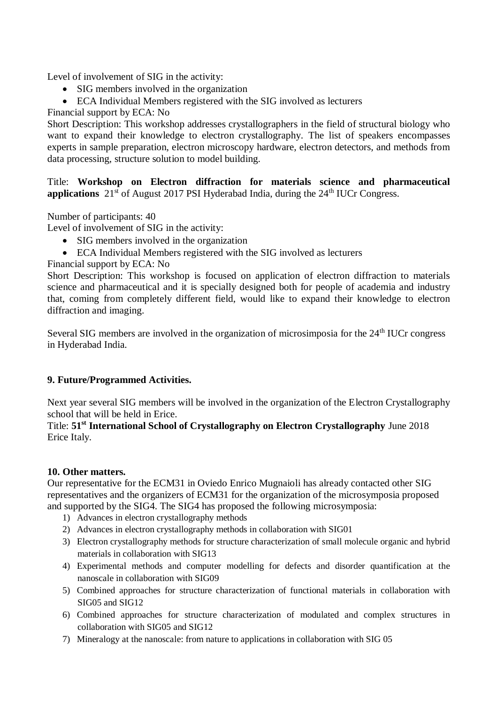Level of involvement of SIG in the activity:

- SIG members involved in the organization
- ECA Individual Members registered with the SIG involved as lecturers

Financial support by ECA: No

Short Description: This workshop addresses crystallographers in the field of structural biology who want to expand their knowledge to electron crystallography. The list of speakers encompasses experts in sample preparation, electron microscopy hardware, electron detectors, and methods from data processing, structure solution to model building.

Title: **Workshop on Electron diffraction for materials science and pharmaceutical applications**  $21<sup>st</sup>$  of August 2017 PSI Hyderabad India, during the  $24<sup>th</sup>$  IUCr Congress.

Number of participants: 40

Level of involvement of SIG in the activity:

- SIG members involved in the organization
- ECA Individual Members registered with the SIG involved as lecturers

## Financial support by ECA: No

Short Description: This workshop is focused on application of electron diffraction to materials science and pharmaceutical and it is specially designed both for people of academia and industry that, coming from completely different field, would like to expand their knowledge to electron diffraction and imaging.

Several SIG members are involved in the organization of microsimposia for the 24<sup>th</sup> IUCr congress in Hyderabad India.

## **9. Future/Programmed Activities.**

Next year several SIG members will be involved in the organization of the Electron Crystallography school that will be held in Erice.

Title: **51st International School of Crystallography on Electron Crystallography** June 2018 Erice Italy.

## **10. Other matters.**

Our representative for the ECM31 in Oviedo Enrico Mugnaioli has already contacted other SIG representatives and the organizers of ECM31 for the organization of the microsymposia proposed and supported by the SIG4. The SIG4 has proposed the following microsymposia:

- 1) Advances in electron crystallography methods
- 2) Advances in electron crystallography methods in collaboration with SIG01
- 3) Electron crystallography methods for structure characterization of small molecule organic and hybrid materials in collaboration with SIG13
- 4) Experimental methods and computer modelling for defects and disorder quantification at the nanoscale in collaboration with SIG09
- 5) Combined approaches for structure characterization of functional materials in collaboration with SIG05 and SIG12
- 6) Combined approaches for structure characterization of modulated and complex structures in collaboration with SIG05 and SIG12
- 7) Mineralogy at the nanoscale: from nature to applications in collaboration with SIG 05